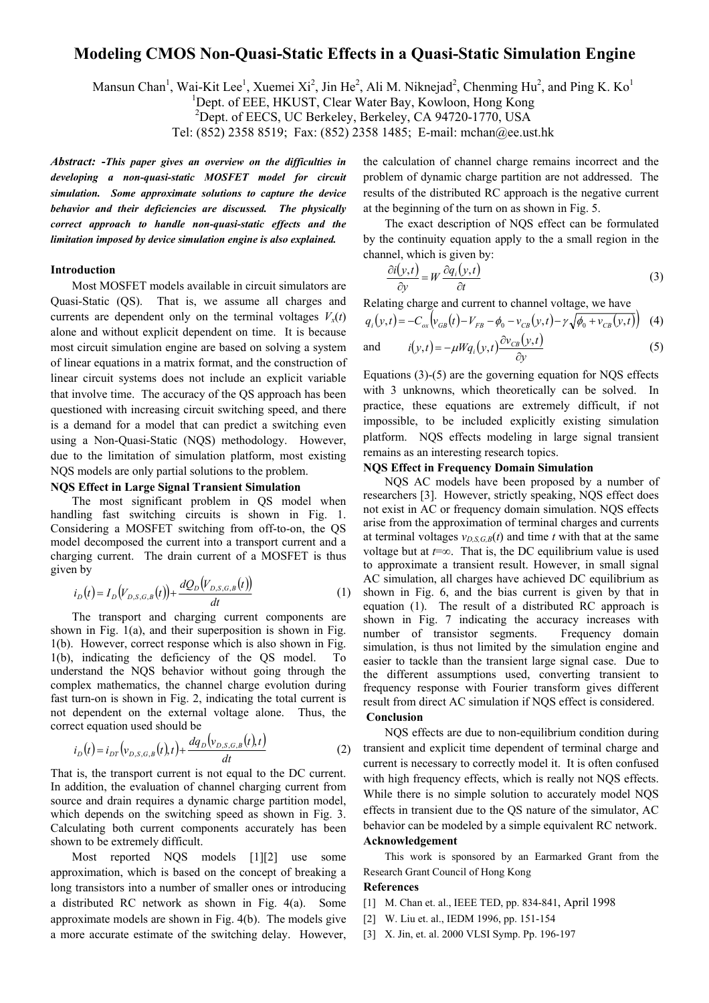# **Modeling CMOS Non-Quasi-Static Effects in a Quasi-Static Simulation Engine**

Mansun Chan<sup>1</sup>, Wai-Kit Lee<sup>1</sup>, Xuemei Xi<sup>2</sup>, Jin He<sup>2</sup>, Ali M. Niknejad<sup>2</sup>, Chenming Hu<sup>2</sup>, and Ping K. Ko<sup>1</sup>

<sup>1</sup>Dept. of EEE, HKUST, Clear Water Bay, Kowloon, Hong Kong

2 Dept. of EECS, UC Berkeley, Berkeley, CA 94720-1770, USA

Tel: (852) 2358 8519; Fax: (852) 2358 1485; E-mail: mchan@ee.ust.hk

*Abstract:* **-***This paper gives an overview on the difficulties in developing a non-quasi-static MOSFET model for circuit simulation. Some approximate solutions to capture the device behavior and their deficiencies are discussed. The physically correct approach to handle non-quasi-static effects and the limitation imposed by device simulation engine is also explained.*

### **Introduction**

Most MOSFET models available in circuit simulators are Quasi-Static (QS). That is, we assume all charges and currents are dependent only on the terminal voltages  $V_x(t)$ alone and without explicit dependent on time. It is because most circuit simulation engine are based on solving a system of linear equations in a matrix format, and the construction of linear circuit systems does not include an explicit variable that involve time. The accuracy of the QS approach has been questioned with increasing circuit switching speed, and there is a demand for a model that can predict a switching even using a Non-Quasi-Static (NQS) methodology. However, due to the limitation of simulation platform, most existing NQS models are only partial solutions to the problem.

## **NQS Effect in Large Signal Transient Simulation**

The most significant problem in QS model when handling fast switching circuits is shown in Fig. 1. Considering a MOSFET switching from off-to-on, the QS model decomposed the current into a transport current and a charging current. The drain current of a MOSFET is thus given by  $\sim$ 

$$
i_D(t) = I_D(V_{D,S,G,B}(t)) + \frac{dQ_D(V_{D,S,G,B}(t))}{dt}
$$
\n(1)

The transport and charging current components are shown in Fig. 1(a), and their superposition is shown in Fig. 1(b). However, correct response which is also shown in Fig. 1(b), indicating the deficiency of the QS model. To understand the NQS behavior without going through the complex mathematics, the channel charge evolution during fast turn-on is shown in Fig. 2, indicating the total current is not dependent on the external voltage alone. Thus, the correct equation used should be

$$
i_D(t) = i_{DT} \left( v_{D,S,G,B}(t), t \right) + \frac{dq_D \left( v_{D,S,G,B}(t), t \right)}{dt} \tag{2}
$$

That is, the transport current is not equal to the DC current. In addition, the evaluation of channel charging current from source and drain requires a dynamic charge partition model, which depends on the switching speed as shown in Fig. 3. Calculating both current components accurately has been shown to be extremely difficult.

Most reported NQS models [1][2] use some approximation, which is based on the concept of breaking a long transistors into a number of smaller ones or introducing a distributed RC network as shown in Fig. 4(a). Some approximate models are shown in Fig. 4(b). The models give a more accurate estimate of the switching delay. However,

the calculation of channel charge remains incorrect and the problem of dynamic charge partition are not addressed. The results of the distributed RC approach is the negative current at the beginning of the turn on as shown in Fig. 5.

The exact description of NQS effect can be formulated by the continuity equation apply to the a small region in the channel, which is given by:

$$
\frac{\partial i(y,t)}{\partial y} = W \frac{\partial q_i(y,t)}{\partial t}
$$
 (3)

Relating charge and current to channel voltage, we have

$$
q_i(y,t) = -C_{ox}\big(v_{GB}(t) - V_{FB} - \phi_0 - v_{CB}(y,t) - \gamma \sqrt{\phi_0 + v_{CB}(y,t)}\big) \tag{4}
$$

and 
$$
i(y,t) = -\mu W q_i(y,t) \frac{\partial v_{CB}(y,t)}{\partial y}
$$
 (5)

Equations (3)-(5) are the governing equation for NQS effects with 3 unknowns, which theoretically can be solved. In practice, these equations are extremely difficult, if not impossible, to be included explicitly existing simulation platform. NQS effects modeling in large signal transient remains as an interesting research topics.

#### **NQS Effect in Frequency Domain Simulation**

NQS AC models have been proposed by a number of researchers [3]. However, strictly speaking, NQS effect does not exist in AC or frequency domain simulation. NQS effects arise from the approximation of terminal charges and currents at terminal voltages  $v_{D,S,G,B}(t)$  and time *t* with that at the same voltage but at *t*=∞. That is, the DC equilibrium value is used to approximate a transient result. However, in small signal AC simulation, all charges have achieved DC equilibrium as shown in Fig. 6, and the bias current is given by that in equation (1). The result of a distributed RC approach is shown in Fig. 7 indicating the accuracy increases with number of transistor segments. Frequency domain simulation, is thus not limited by the simulation engine and easier to tackle than the transient large signal case. Due to the different assumptions used, converting transient to frequency response with Fourier transform gives different result from direct AC simulation if NQS effect is considered.

#### **Conclusion**

NQS effects are due to non-equilibrium condition during transient and explicit time dependent of terminal charge and current is necessary to correctly model it. It is often confused with high frequency effects, which is really not NOS effects. While there is no simple solution to accurately model NQS effects in transient due to the QS nature of the simulator, AC behavior can be modeled by a simple equivalent RC network. **Acknowledgement** 

This work is sponsored by an Earmarked Grant from the Research Grant Council of Hong Kong

#### **References**

- [1] M. Chan et. al., IEEE TED, pp. 834-841, April 1998
- [2] W. Liu et. al., IEDM 1996, pp. 151-154
- [3] X. Jin, et. al. 2000 VLSI Symp. Pp. 196-197